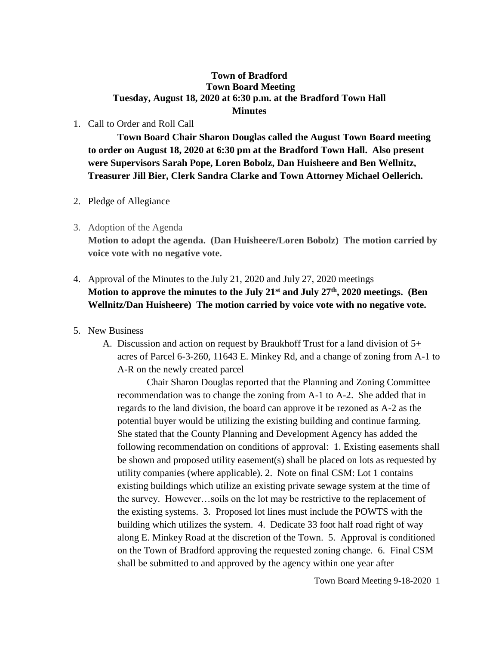## **Town of Bradford Town Board Meeting Tuesday, August 18, 2020 at 6:30 p.m. at the Bradford Town Hall Minutes**

# 1. Call to Order and Roll Call

**Town Board Chair Sharon Douglas called the August Town Board meeting to order on August 18, 2020 at 6:30 pm at the Bradford Town Hall. Also present were Supervisors Sarah Pope, Loren Bobolz, Dan Huisheere and Ben Wellnitz, Treasurer Jill Bier, Clerk Sandra Clarke and Town Attorney Michael Oellerich.** 

### 2. Pledge of Allegiance

3. Adoption of the Agenda

**Motion to adopt the agenda. (Dan Huisheere/Loren Bobolz) The motion carried by voice vote with no negative vote.**

# 4. Approval of the Minutes to the July 21, 2020 and July 27, 2020 meetings **Motion to approve the minutes to the July 21st and July 27th, 2020 meetings. (Ben Wellnitz/Dan Huisheere) The motion carried by voice vote with no negative vote.**

### 5. New Business

A. Discussion and action on request by Braukhoff Trust for a land division of  $5\pm$ acres of Parcel 6-3-260, 11643 E. Minkey Rd, and a change of zoning from A-1 to A-R on the newly created parcel

Chair Sharon Douglas reported that the Planning and Zoning Committee recommendation was to change the zoning from A-1 to A-2. She added that in regards to the land division, the board can approve it be rezoned as A-2 as the potential buyer would be utilizing the existing building and continue farming. She stated that the County Planning and Development Agency has added the following recommendation on conditions of approval: 1. Existing easements shall be shown and proposed utility easement(s) shall be placed on lots as requested by utility companies (where applicable). 2. Note on final CSM: Lot 1 contains existing buildings which utilize an existing private sewage system at the time of the survey. However…soils on the lot may be restrictive to the replacement of the existing systems. 3. Proposed lot lines must include the POWTS with the building which utilizes the system. 4. Dedicate 33 foot half road right of way along E. Minkey Road at the discretion of the Town. 5. Approval is conditioned on the Town of Bradford approving the requested zoning change. 6. Final CSM shall be submitted to and approved by the agency within one year after

Town Board Meeting 9-18-2020 1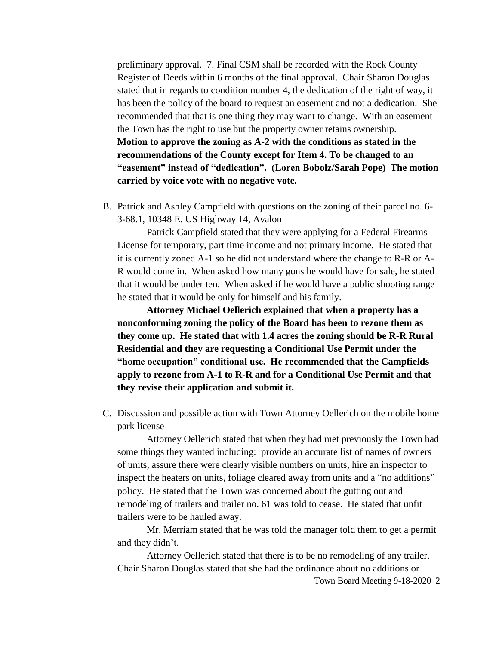preliminary approval. 7. Final CSM shall be recorded with the Rock County Register of Deeds within 6 months of the final approval. Chair Sharon Douglas stated that in regards to condition number 4, the dedication of the right of way, it has been the policy of the board to request an easement and not a dedication. She recommended that that is one thing they may want to change. With an easement the Town has the right to use but the property owner retains ownership. **Motion to approve the zoning as A-2 with the conditions as stated in the recommendations of the County except for Item 4. To be changed to an "easement" instead of "dedication". (Loren Bobolz/Sarah Pope) The motion carried by voice vote with no negative vote.**

B. Patrick and Ashley Campfield with questions on the zoning of their parcel no. 6- 3-68.1, 10348 E. US Highway 14, Avalon

Patrick Campfield stated that they were applying for a Federal Firearms License for temporary, part time income and not primary income. He stated that it is currently zoned A-1 so he did not understand where the change to R-R or A-R would come in. When asked how many guns he would have for sale, he stated that it would be under ten. When asked if he would have a public shooting range he stated that it would be only for himself and his family.

**Attorney Michael Oellerich explained that when a property has a nonconforming zoning the policy of the Board has been to rezone them as they come up. He stated that with 1.4 acres the zoning should be R-R Rural Residential and they are requesting a Conditional Use Permit under the "home occupation" conditional use. He recommended that the Campfields apply to rezone from A-1 to R-R and for a Conditional Use Permit and that they revise their application and submit it.**

C. Discussion and possible action with Town Attorney Oellerich on the mobile home park license

Attorney Oellerich stated that when they had met previously the Town had some things they wanted including: provide an accurate list of names of owners of units, assure there were clearly visible numbers on units, hire an inspector to inspect the heaters on units, foliage cleared away from units and a "no additions" policy. He stated that the Town was concerned about the gutting out and remodeling of trailers and trailer no. 61 was told to cease. He stated that unfit trailers were to be hauled away.

Mr. Merriam stated that he was told the manager told them to get a permit and they didn't.

Attorney Oellerich stated that there is to be no remodeling of any trailer. Chair Sharon Douglas stated that she had the ordinance about no additions or

Town Board Meeting 9-18-2020 2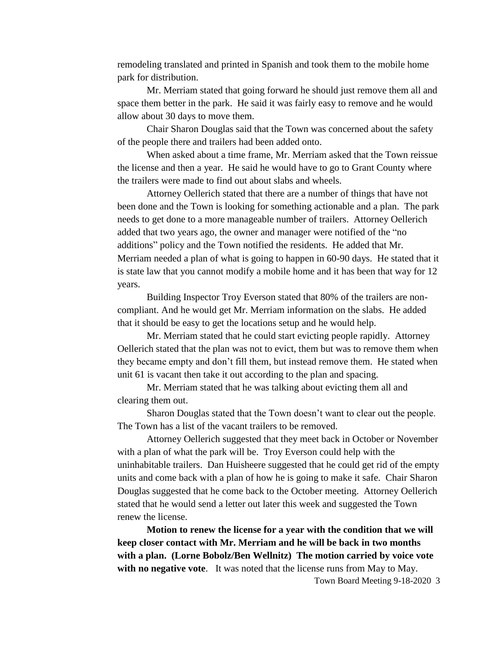remodeling translated and printed in Spanish and took them to the mobile home park for distribution.

Mr. Merriam stated that going forward he should just remove them all and space them better in the park. He said it was fairly easy to remove and he would allow about 30 days to move them.

Chair Sharon Douglas said that the Town was concerned about the safety of the people there and trailers had been added onto.

When asked about a time frame, Mr. Merriam asked that the Town reissue the license and then a year. He said he would have to go to Grant County where the trailers were made to find out about slabs and wheels.

Attorney Oellerich stated that there are a number of things that have not been done and the Town is looking for something actionable and a plan. The park needs to get done to a more manageable number of trailers. Attorney Oellerich added that two years ago, the owner and manager were notified of the "no additions" policy and the Town notified the residents. He added that Mr. Merriam needed a plan of what is going to happen in 60-90 days. He stated that it is state law that you cannot modify a mobile home and it has been that way for 12 years.

Building Inspector Troy Everson stated that 80% of the trailers are noncompliant. And he would get Mr. Merriam information on the slabs. He added that it should be easy to get the locations setup and he would help.

Mr. Merriam stated that he could start evicting people rapidly. Attorney Oellerich stated that the plan was not to evict, them but was to remove them when they became empty and don't fill them, but instead remove them. He stated when unit 61 is vacant then take it out according to the plan and spacing.

Mr. Merriam stated that he was talking about evicting them all and clearing them out.

Sharon Douglas stated that the Town doesn't want to clear out the people. The Town has a list of the vacant trailers to be removed.

Attorney Oellerich suggested that they meet back in October or November with a plan of what the park will be. Troy Everson could help with the uninhabitable trailers. Dan Huisheere suggested that he could get rid of the empty units and come back with a plan of how he is going to make it safe. Chair Sharon Douglas suggested that he come back to the October meeting. Attorney Oellerich stated that he would send a letter out later this week and suggested the Town renew the license.

Town Board Meeting 9-18-2020 3 **Motion to renew the license for a year with the condition that we will keep closer contact with Mr. Merriam and he will be back in two months with a plan. (Lorne Bobolz/Ben Wellnitz) The motion carried by voice vote with no negative vote**. It was noted that the license runs from May to May.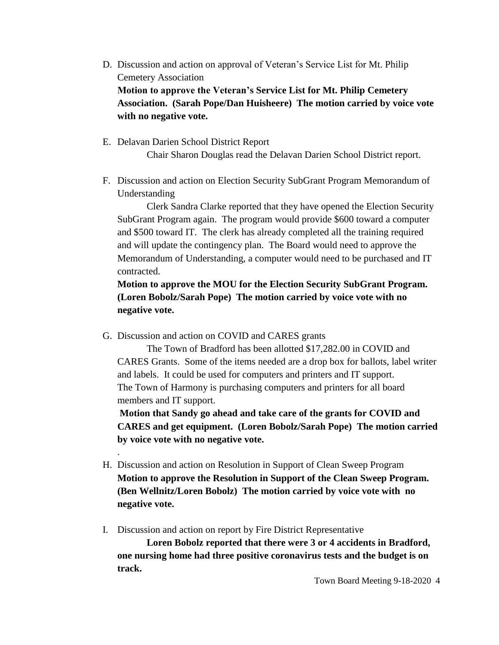- D. Discussion and action on approval of Veteran's Service List for Mt. Philip Cemetery Association **Motion to approve the Veteran's Service List for Mt. Philip Cemetery Association. (Sarah Pope/Dan Huisheere) The motion carried by voice vote with no negative vote.**
- E. Delavan Darien School District Report Chair Sharon Douglas read the Delavan Darien School District report.
- F. Discussion and action on Election Security SubGrant Program Memorandum of Understanding

Clerk Sandra Clarke reported that they have opened the Election Security SubGrant Program again. The program would provide \$600 toward a computer and \$500 toward IT. The clerk has already completed all the training required and will update the contingency plan. The Board would need to approve the Memorandum of Understanding, a computer would need to be purchased and IT contracted.

**Motion to approve the MOU for the Election Security SubGrant Program. (Loren Bobolz/Sarah Pope) The motion carried by voice vote with no negative vote.**

G. Discussion and action on COVID and CARES grants

.

The Town of Bradford has been allotted \$17,282.00 in COVID and CARES Grants. Some of the items needed are a drop box for ballots, label writer and labels. It could be used for computers and printers and IT support. The Town of Harmony is purchasing computers and printers for all board members and IT support.

**Motion that Sandy go ahead and take care of the grants for COVID and CARES and get equipment. (Loren Bobolz/Sarah Pope) The motion carried by voice vote with no negative vote.**

- H. Discussion and action on Resolution in Support of Clean Sweep Program **Motion to approve the Resolution in Support of the Clean Sweep Program. (Ben Wellnitz/Loren Bobolz) The motion carried by voice vote with no negative vote.**
- I. Discussion and action on report by Fire District Representative

**Loren Bobolz reported that there were 3 or 4 accidents in Bradford, one nursing home had three positive coronavirus tests and the budget is on track.**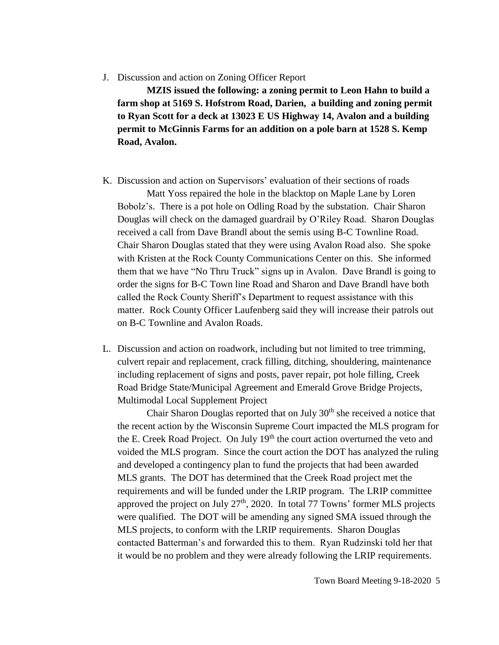#### J. Discussion and action on Zoning Officer Report

**MZIS issued the following: a zoning permit to Leon Hahn to build a farm shop at 5169 S. Hofstrom Road, Darien, a building and zoning permit to Ryan Scott for a deck at 13023 E US Highway 14, Avalon and a building permit to McGinnis Farms for an addition on a pole barn at 1528 S. Kemp Road, Avalon.**

K. Discussion and action on Supervisors' evaluation of their sections of roads

Matt Yoss repaired the hole in the blacktop on Maple Lane by Loren Bobolz's. There is a pot hole on Odling Road by the substation. Chair Sharon Douglas will check on the damaged guardrail by O'Riley Road. Sharon Douglas received a call from Dave Brandl about the semis using B-C Townline Road. Chair Sharon Douglas stated that they were using Avalon Road also. She spoke with Kristen at the Rock County Communications Center on this. She informed them that we have "No Thru Truck" signs up in Avalon. Dave Brandl is going to order the signs for B-C Town line Road and Sharon and Dave Brandl have both called the Rock County Sheriff's Department to request assistance with this matter. Rock County Officer Laufenberg said they will increase their patrols out on B-C Townline and Avalon Roads.

L. Discussion and action on roadwork, including but not limited to tree trimming, culvert repair and replacement, crack filling, ditching, shouldering, maintenance including replacement of signs and posts, paver repair, pot hole filling, Creek Road Bridge State/Municipal Agreement and Emerald Grove Bridge Projects, Multimodal Local Supplement Project

Chair Sharon Douglas reported that on July  $30<sup>th</sup>$  she received a notice that the recent action by the Wisconsin Supreme Court impacted the MLS program for the E. Creek Road Project. On July  $19<sup>th</sup>$  the court action overturned the veto and voided the MLS program. Since the court action the DOT has analyzed the ruling and developed a contingency plan to fund the projects that had been awarded MLS grants. The DOT has determined that the Creek Road project met the requirements and will be funded under the LRIP program. The LRIP committee approved the project on July  $27<sup>th</sup>$ , 2020. In total 77 Towns' former MLS projects were qualified. The DOT will be amending any signed SMA issued through the MLS projects, to conform with the LRIP requirements. Sharon Douglas contacted Batterman's and forwarded this to them. Ryan Rudzinski told her that it would be no problem and they were already following the LRIP requirements.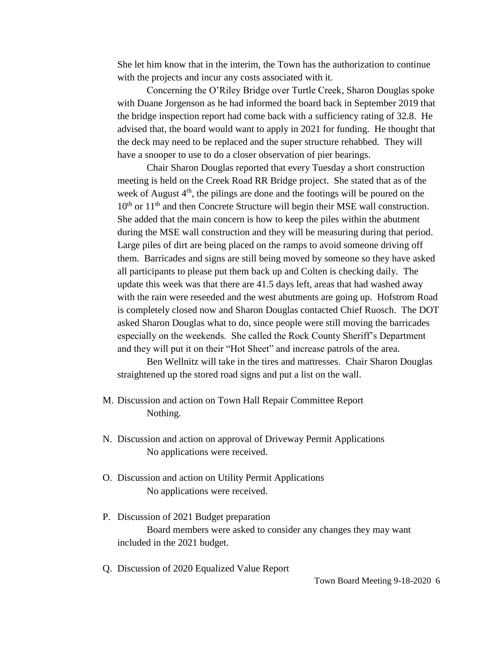She let him know that in the interim, the Town has the authorization to continue with the projects and incur any costs associated with it.

Concerning the O'Riley Bridge over Turtle Creek, Sharon Douglas spoke with Duane Jorgenson as he had informed the board back in September 2019 that the bridge inspection report had come back with a sufficiency rating of 32.8. He advised that, the board would want to apply in 2021 for funding. He thought that the deck may need to be replaced and the super structure rehabbed. They will have a snooper to use to do a closer observation of pier bearings.

Chair Sharon Douglas reported that every Tuesday a short construction meeting is held on the Creek Road RR Bridge project. She stated that as of the week of August  $4<sup>th</sup>$ , the pilings are done and the footings will be poured on the  $10<sup>th</sup>$  or  $11<sup>th</sup>$  and then Concrete Structure will begin their MSE wall construction. She added that the main concern is how to keep the piles within the abutment during the MSE wall construction and they will be measuring during that period. Large piles of dirt are being placed on the ramps to avoid someone driving off them. Barricades and signs are still being moved by someone so they have asked all participants to please put them back up and Colten is checking daily. The update this week was that there are 41.5 days left, areas that had washed away with the rain were reseeded and the west abutments are going up. Hofstrom Road is completely closed now and Sharon Douglas contacted Chief Ruosch. The DOT asked Sharon Douglas what to do, since people were still moving the barricades especially on the weekends. She called the Rock County Sheriff's Department and they will put it on their "Hot Sheet" and increase patrols of the area.

Ben Wellnitz will take in the tires and mattresses. Chair Sharon Douglas straightened up the stored road signs and put a list on the wall.

- M. Discussion and action on Town Hall Repair Committee Report Nothing.
- N. Discussion and action on approval of Driveway Permit Applications No applications were received.
- O. Discussion and action on Utility Permit Applications No applications were received.
- P. Discussion of 2021 Budget preparation Board members were asked to consider any changes they may want included in the 2021 budget.
- Q. Discussion of 2020 Equalized Value Report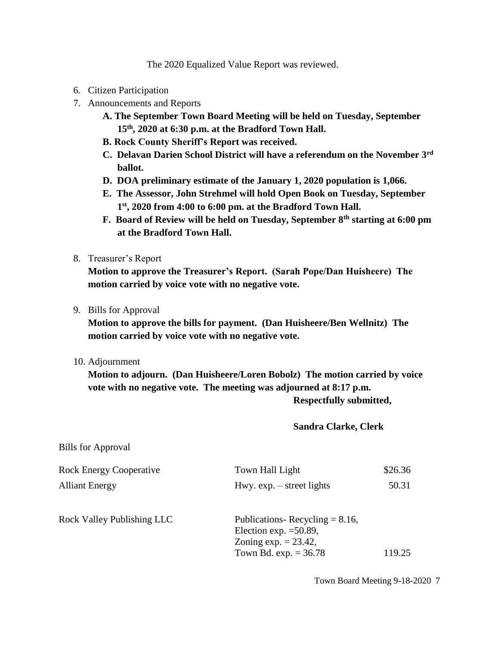The 2020 Equalized Value Report was reviewed.

- 6. Citizen Participation
- 7. Announcements and Reports
	- **A. The September Town Board Meeting will be held on Tuesday, September 15th, 2020 at 6:30 p.m. at the Bradford Town Hall.**
	- **B. Rock County Sheriff's Report was received.**
	- **C. Delavan Darien School District will have a referendum on the November 3rd ballot.**
	- **D. DOA preliminary estimate of the January 1, 2020 population is 1,066.**
	- **E. The Assessor, John Strehmel will hold Open Book on Tuesday, September 1 st, 2020 from 4:00 to 6:00 pm. at the Bradford Town Hall.**
	- **F. Board of Review will be held on Tuesday, September 8th starting at 6:00 pm at the Bradford Town Hall.**
- 8. Treasurer's Report

**Motion to approve the Treasurer's Report. (Sarah Pope/Dan Huisheere) The motion carried by voice vote with no negative vote.**

9. Bills for Approval

**Motion to approve the bills for payment. (Dan Huisheere/Ben Wellnitz) The motion carried by voice vote with no negative vote.**

10. Adjournment

**Motion to adjourn. (Dan Huisheere/Loren Bobolz) The motion carried by voice vote with no negative vote. The meeting was adjourned at 8:17 p.m. Respectfully submitted,**

**Sandra Clarke, Clerk**

Bills for Approval

| <b>Rock Energy Cooperative</b> | Town Hall Light                                                                                                     | \$26.36 |
|--------------------------------|---------------------------------------------------------------------------------------------------------------------|---------|
| <b>Alliant Energy</b>          | Hwy. $exp. - street$ lights                                                                                         | 50.31   |
| Rock Valley Publishing LLC     | Publications-Recycling $= 8.16$ ,<br>Election exp. $=50.89$ ,<br>Zoning $exp. = 23.42$ ,<br>Town Bd. exp. $= 36.78$ | 119.25  |
|                                |                                                                                                                     |         |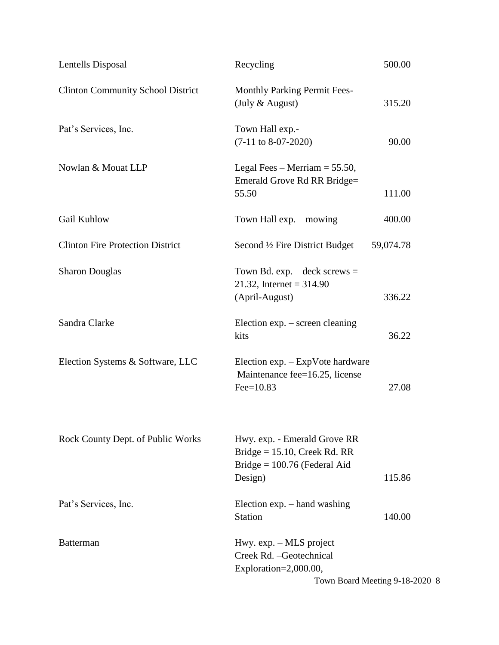| Lentells Disposal                        | Recycling                                                                                                    | 500.00                         |
|------------------------------------------|--------------------------------------------------------------------------------------------------------------|--------------------------------|
| <b>Clinton Community School District</b> | <b>Monthly Parking Permit Fees-</b><br>(July & August)                                                       | 315.20                         |
| Pat's Services, Inc.                     | Town Hall exp.-<br>$(7-11$ to 8-07-2020)                                                                     | 90.00                          |
| Nowlan & Mouat LLP                       | Legal Fees – Merriam = $55.50$ ,<br>Emerald Grove Rd RR Bridge=<br>55.50                                     | 111.00                         |
| Gail Kuhlow                              | Town Hall exp. – mowing                                                                                      | 400.00                         |
| <b>Clinton Fire Protection District</b>  | Second 1/2 Fire District Budget                                                                              | 59,074.78                      |
| <b>Sharon Douglas</b>                    | Town Bd. exp. $-\text{deck}$ screws =<br>21.32, Internet = $314.90$<br>(April-August)                        | 336.22                         |
| Sandra Clarke                            | Election $exp. - screen$ cleaning<br>kits                                                                    | 36.22                          |
| Election Systems & Software, LLC         | Election $exp. - ExpV$ ote hardware<br>Maintenance fee=16.25, license<br>$Fee=10.83$                         | 27.08                          |
| Rock County Dept. of Public Works        | Hwy. exp. - Emerald Grove RR<br>Bridge = $15.10$ , Creek Rd. RR<br>Bridge = $100.76$ (Federal Aid<br>Design) | 115.86                         |
| Pat's Services, Inc.                     | Election $exp.$ - hand washing<br><b>Station</b>                                                             | 140.00                         |
| <b>Batterman</b>                         | Hwy. $exp. - MLS$ project<br>Creek Rd. - Geotechnical<br>Exploration=2,000.00,                               | Town Board Meeting 9-18-2020 8 |